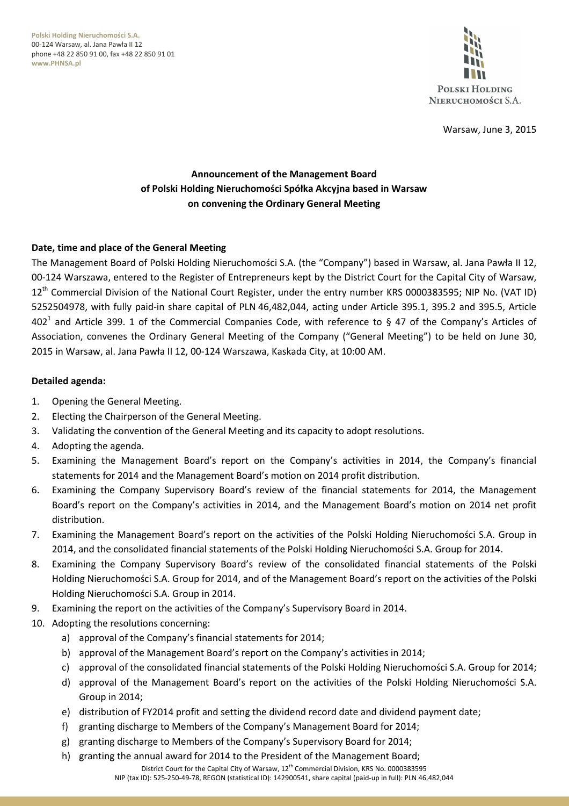**Polski Holding Nieruchomości S.A.** 00-124 Warsaw, al. Jana Pawła II 12 phone +48 22 850 91 00, fax +48 22 850 91 01 **www.PHNSA.pl**



Warsaw, June 3, 2015

# **Announcement of the Management Board of Polski Holding Nieruchomości Spółka Akcyjna based in Warsaw on convening the Ordinary General Meeting**

### **Date, time and place of the General Meeting**

The Management Board of Polski Holding Nieruchomości S.A. (the "Company") based in Warsaw, al. Jana Pawła II 12, 00-124 Warszawa, entered to the Register of Entrepreneurs kept by the District Court for the Capital City of Warsaw, 12<sup>th</sup> Commercial Division of the National Court Register, under the entry number KRS 0000383595; NIP No. (VAT ID) 5252504978, with fully paid-in share capital of PLN 46,482,044, acting under Article 395.1, 395.2 and 395.5, Article 402<sup>1</sup> and Article 399. 1 of the Commercial Companies Code, with reference to § 47 of the Company's Articles of Association, convenes the Ordinary General Meeting of the Company ("General Meeting") to be held on June 30, 2015 in Warsaw, al. Jana Pawła II 12, 00-124 Warszawa, Kaskada City, at 10:00 AM.

#### **Detailed agenda:**

- 1. Opening the General Meeting.
- 2. Electing the Chairperson of the General Meeting.
- 3. Validating the convention of the General Meeting and its capacity to adopt resolutions.
- 4. Adopting the agenda.
- 5. Examining the Management Board's report on the Company's activities in 2014, the Company's financial statements for 2014 and the Management Board's motion on 2014 profit distribution.
- 6. Examining the Company Supervisory Board's review of the financial statements for 2014, the Management Board's report on the Company's activities in 2014, and the Management Board's motion on 2014 net profit distribution.
- 7. Examining the Management Board's report on the activities of the Polski Holding Nieruchomości S.A. Group in 2014, and the consolidated financial statements of the Polski Holding Nieruchomości S.A. Group for 2014.
- 8. Examining the Company Supervisory Board's review of the consolidated financial statements of the Polski Holding Nieruchomości S.A. Group for 2014, and of the Management Board's report on the activities of the Polski Holding Nieruchomości S.A. Group in 2014.
- 9. Examining the report on the activities of the Company's Supervisory Board in 2014.
- 10. Adopting the resolutions concerning:
	- a) approval of the Company's financial statements for 2014;
	- b) approval of the Management Board's report on the Company's activities in 2014;
	- c) approval of the consolidated financial statements of the Polski Holding Nieruchomości S.A. Group for 2014;
	- d) approval of the Management Board's report on the activities of the Polski Holding Nieruchomości S.A. Group in 2014;
	- e) distribution of FY2014 profit and setting the dividend record date and dividend payment date;
	- f) granting discharge to Members of the Company's Management Board for 2014;
	- g) granting discharge to Members of the Company's Supervisory Board for 2014;
	- h) granting the annual award for 2014 to the President of the Management Board;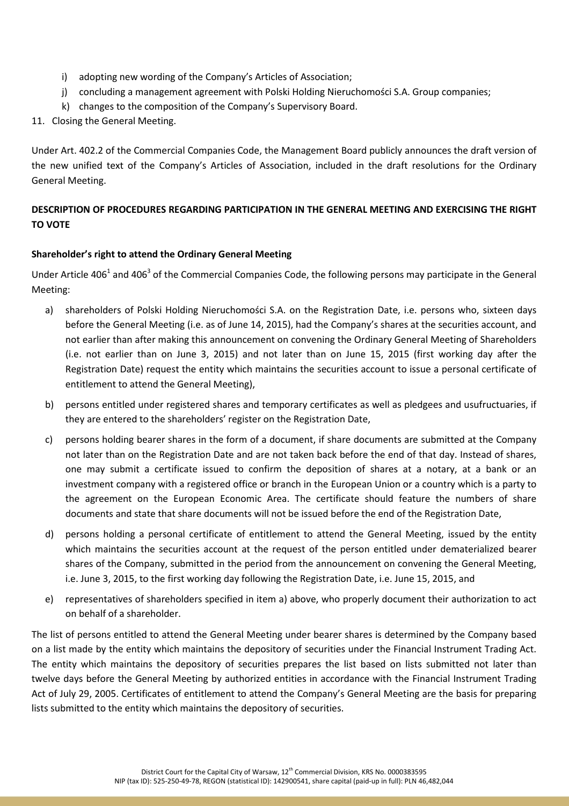- i) adopting new wording of the Company's Articles of Association;
- j) concluding a management agreement with Polski Holding Nieruchomości S.A. Group companies;
- k) changes to the composition of the Company's Supervisory Board.
- 11. Closing the General Meeting.

Under Art. 402.2 of the Commercial Companies Code, the Management Board publicly announces the draft version of the new unified text of the Company's Articles of Association, included in the draft resolutions for the Ordinary General Meeting.

# **DESCRIPTION OF PROCEDURES REGARDING PARTICIPATION IN THE GENERAL MEETING AND EXERCISING THE RIGHT TO VOTE**

## **Shareholder's right to attend the Ordinary General Meeting**

Under Article 406<sup>1</sup> and 406<sup>3</sup> of the Commercial Companies Code, the following persons may participate in the General Meeting:

- a) shareholders of Polski Holding Nieruchomości S.A. on the Registration Date, i.e. persons who, sixteen days before the General Meeting (i.e. as of June 14, 2015), had the Company's shares at the securities account, and not earlier than after making this announcement on convening the Ordinary General Meeting of Shareholders (i.e. not earlier than on June 3, 2015) and not later than on June 15, 2015 (first working day after the Registration Date) request the entity which maintains the securities account to issue a personal certificate of entitlement to attend the General Meeting),
- b) persons entitled under registered shares and temporary certificates as well as pledgees and usufructuaries, if they are entered to the shareholders' register on the Registration Date,
- c) persons holding bearer shares in the form of a document, if share documents are submitted at the Company not later than on the Registration Date and are not taken back before the end of that day. Instead of shares, one may submit a certificate issued to confirm the deposition of shares at a notary, at a bank or an investment company with a registered office or branch in the European Union or a country which is a party to the agreement on the European Economic Area. The certificate should feature the numbers of share documents and state that share documents will not be issued before the end of the Registration Date,
- d) persons holding a personal certificate of entitlement to attend the General Meeting, issued by the entity which maintains the securities account at the request of the person entitled under dematerialized bearer shares of the Company, submitted in the period from the announcement on convening the General Meeting, i.e. June 3, 2015, to the first working day following the Registration Date, i.e. June 15, 2015, and
- e) representatives of shareholders specified in item a) above, who properly document their authorization to act on behalf of a shareholder.

The list of persons entitled to attend the General Meeting under bearer shares is determined by the Company based on a list made by the entity which maintains the depository of securities under the Financial Instrument Trading Act. The entity which maintains the depository of securities prepares the list based on lists submitted not later than twelve days before the General Meeting by authorized entities in accordance with the Financial Instrument Trading Act of July 29, 2005. Certificates of entitlement to attend the Company's General Meeting are the basis for preparing lists submitted to the entity which maintains the depository of securities.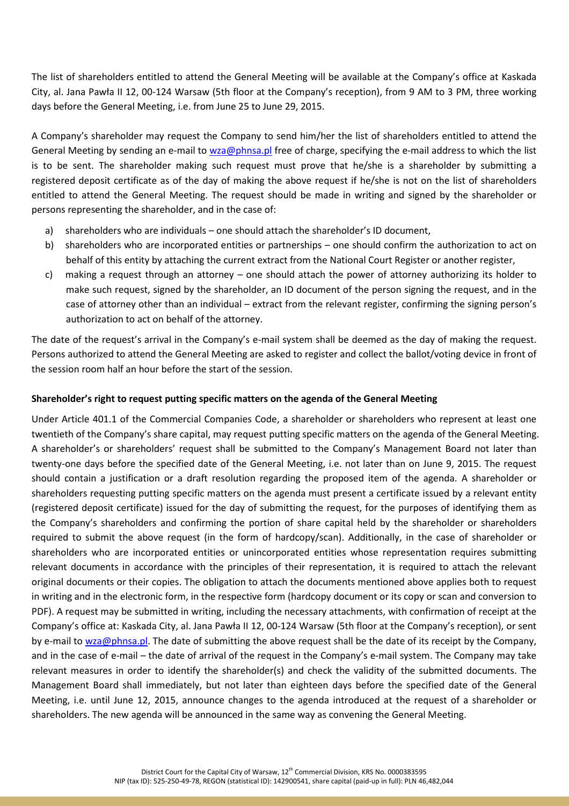The list of shareholders entitled to attend the General Meeting will be available at the Company's office at Kaskada City, al. Jana Pawła II 12, 00-124 Warsaw (5th floor at the Company's reception), from 9 AM to 3 PM, three working days before the General Meeting, i.e. from June 25 to June 29, 2015.

A Company's shareholder may request the Company to send him/her the list of shareholders entitled to attend the General Meeting by sending an e-mail to wza@phnsa.pl free of charge, specifying the e-mail address to which the list is to be sent. The shareholder making such request must prove that he/she is a shareholder by submitting a registered deposit certificate as of the day of making the above request if he/she is not on the list of shareholders entitled to attend the General Meeting. The request should be made in writing and signed by the shareholder or persons representing the shareholder, and in the case of:

- a) shareholders who are individuals one should attach the shareholder's ID document,
- b) shareholders who are incorporated entities or partnerships one should confirm the authorization to act on behalf of this entity by attaching the current extract from the National Court Register or another register,
- c) making a request through an attorney one should attach the power of attorney authorizing its holder to make such request, signed by the shareholder, an ID document of the person signing the request, and in the case of attorney other than an individual – extract from the relevant register, confirming the signing person's authorization to act on behalf of the attorney.

The date of the request's arrival in the Company's e-mail system shall be deemed as the day of making the request. Persons authorized to attend the General Meeting are asked to register and collect the ballot/voting device in front of the session room half an hour before the start of the session.

### **Shareholder's right to request putting specific matters on the agenda of the General Meeting**

Under Article 401.1 of the Commercial Companies Code, a shareholder or shareholders who represent at least one twentieth of the Company's share capital, may request putting specific matters on the agenda of the General Meeting. A shareholder's or shareholders' request shall be submitted to the Company's Management Board not later than twenty-one days before the specified date of the General Meeting, i.e. not later than on June 9, 2015. The request should contain a justification or a draft resolution regarding the proposed item of the agenda. A shareholder or shareholders requesting putting specific matters on the agenda must present a certificate issued by a relevant entity (registered deposit certificate) issued for the day of submitting the request, for the purposes of identifying them as the Company's shareholders and confirming the portion of share capital held by the shareholder or shareholders required to submit the above request (in the form of hardcopy/scan). Additionally, in the case of shareholder or shareholders who are incorporated entities or unincorporated entities whose representation requires submitting relevant documents in accordance with the principles of their representation, it is required to attach the relevant original documents or their copies. The obligation to attach the documents mentioned above applies both to request in writing and in the electronic form, in the respective form (hardcopy document or its copy or scan and conversion to PDF). A request may be submitted in writing, including the necessary attachments, with confirmation of receipt at the Company's office at: Kaskada City, al. Jana Pawła II 12, 00-124 Warsaw (5th floor at the Company's reception), or sent by e-mail to wza@phnsa.pl. The date of submitting the above request shall be the date of its receipt by the Company, and in the case of e-mail – the date of arrival of the request in the Company's e-mail system. The Company may take relevant measures in order to identify the shareholder(s) and check the validity of the submitted documents. The Management Board shall immediately, but not later than eighteen days before the specified date of the General Meeting, i.e. until June 12, 2015, announce changes to the agenda introduced at the request of a shareholder or shareholders. The new agenda will be announced in the same way as convening the General Meeting.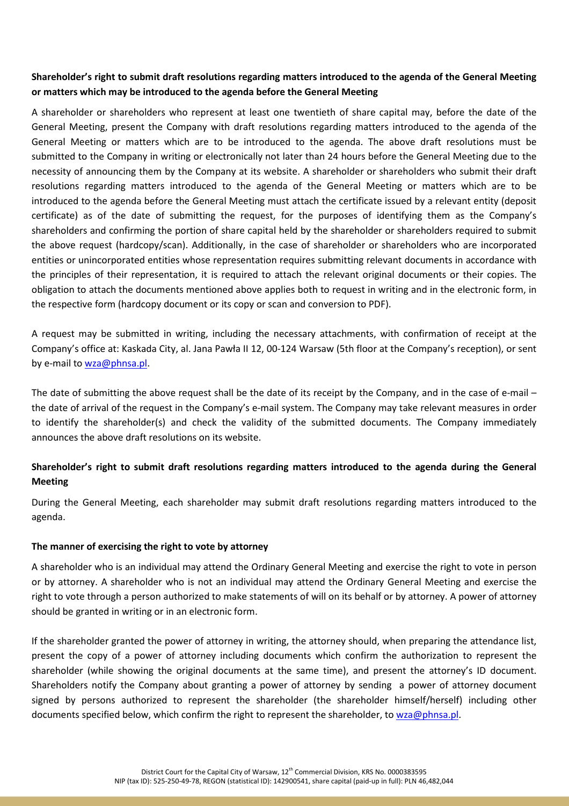## **Shareholder's right to submit draft resolutions regarding matters introduced to the agenda of the General Meeting or matters which may be introduced to the agenda before the General Meeting**

A shareholder or shareholders who represent at least one twentieth of share capital may, before the date of the General Meeting, present the Company with draft resolutions regarding matters introduced to the agenda of the General Meeting or matters which are to be introduced to the agenda. The above draft resolutions must be submitted to the Company in writing or electronically not later than 24 hours before the General Meeting due to the necessity of announcing them by the Company at its website. A shareholder or shareholders who submit their draft resolutions regarding matters introduced to the agenda of the General Meeting or matters which are to be introduced to the agenda before the General Meeting must attach the certificate issued by a relevant entity (deposit certificate) as of the date of submitting the request, for the purposes of identifying them as the Company's shareholders and confirming the portion of share capital held by the shareholder or shareholders required to submit the above request (hardcopy/scan). Additionally, in the case of shareholder or shareholders who are incorporated entities or unincorporated entities whose representation requires submitting relevant documents in accordance with the principles of their representation, it is required to attach the relevant original documents or their copies. The obligation to attach the documents mentioned above applies both to request in writing and in the electronic form, in the respective form (hardcopy document or its copy or scan and conversion to PDF).

A request may be submitted in writing, including the necessary attachments, with confirmation of receipt at the Company's office at: Kaskada City, al. Jana Pawła II 12, 00-124 Warsaw (5th floor at the Company's reception), or sent by e-mail to wza@phnsa.pl.

The date of submitting the above request shall be the date of its receipt by the Company, and in the case of e-mail – the date of arrival of the request in the Company's e-mail system. The Company may take relevant measures in order to identify the shareholder(s) and check the validity of the submitted documents. The Company immediately announces the above draft resolutions on its website.

# **Shareholder's right to submit draft resolutions regarding matters introduced to the agenda during the General Meeting**

During the General Meeting, each shareholder may submit draft resolutions regarding matters introduced to the agenda.

### **The manner of exercising the right to vote by attorney**

A shareholder who is an individual may attend the Ordinary General Meeting and exercise the right to vote in person or by attorney. A shareholder who is not an individual may attend the Ordinary General Meeting and exercise the right to vote through a person authorized to make statements of will on its behalf or by attorney. A power of attorney should be granted in writing or in an electronic form.

If the shareholder granted the power of attorney in writing, the attorney should, when preparing the attendance list, present the copy of a power of attorney including documents which confirm the authorization to represent the shareholder (while showing the original documents at the same time), and present the attorney's ID document. Shareholders notify the Company about granting a power of attorney by sending a power of attorney document signed by persons authorized to represent the shareholder (the shareholder himself/herself) including other documents specified below, which confirm the right to represent the shareholder, to wza@phnsa.pl.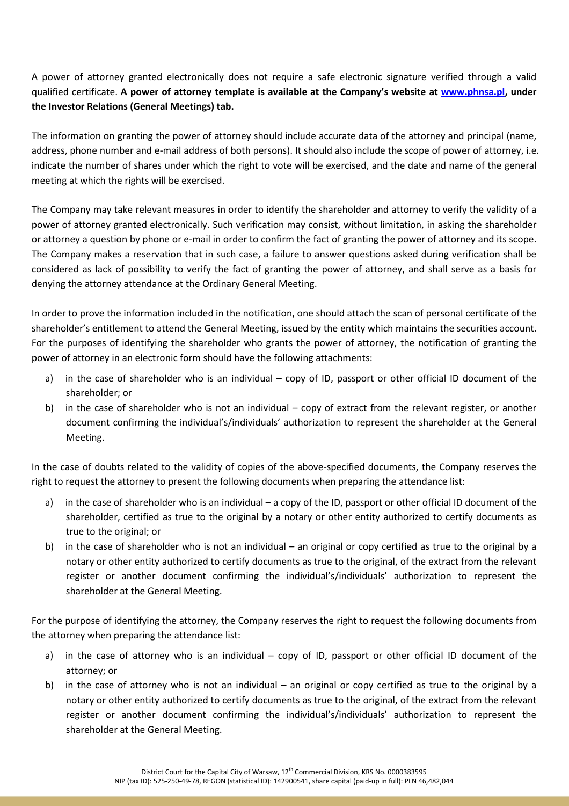A power of attorney granted electronically does not require a safe electronic signature verified through a valid qualified certificate. **A power of attorney template is available at the Company's website at www.phnsa.pl, under the Investor Relations (General Meetings) tab.** 

The information on granting the power of attorney should include accurate data of the attorney and principal (name, address, phone number and e-mail address of both persons). It should also include the scope of power of attorney, i.e. indicate the number of shares under which the right to vote will be exercised, and the date and name of the general meeting at which the rights will be exercised.

The Company may take relevant measures in order to identify the shareholder and attorney to verify the validity of a power of attorney granted electronically. Such verification may consist, without limitation, in asking the shareholder or attorney a question by phone or e-mail in order to confirm the fact of granting the power of attorney and its scope. The Company makes a reservation that in such case, a failure to answer questions asked during verification shall be considered as lack of possibility to verify the fact of granting the power of attorney, and shall serve as a basis for denying the attorney attendance at the Ordinary General Meeting.

In order to prove the information included in the notification, one should attach the scan of personal certificate of the shareholder's entitlement to attend the General Meeting, issued by the entity which maintains the securities account. For the purposes of identifying the shareholder who grants the power of attorney, the notification of granting the power of attorney in an electronic form should have the following attachments:

- a) in the case of shareholder who is an individual copy of ID, passport or other official ID document of the shareholder; or
- b) in the case of shareholder who is not an individual copy of extract from the relevant register, or another document confirming the individual's/individuals' authorization to represent the shareholder at the General Meeting.

In the case of doubts related to the validity of copies of the above-specified documents, the Company reserves the right to request the attorney to present the following documents when preparing the attendance list:

- a) in the case of shareholder who is an individual a copy of the ID, passport or other official ID document of the shareholder, certified as true to the original by a notary or other entity authorized to certify documents as true to the original; or
- b) in the case of shareholder who is not an individual an original or copy certified as true to the original by a notary or other entity authorized to certify documents as true to the original, of the extract from the relevant register or another document confirming the individual's/individuals' authorization to represent the shareholder at the General Meeting.

For the purpose of identifying the attorney, the Company reserves the right to request the following documents from the attorney when preparing the attendance list:

- a) in the case of attorney who is an individual copy of ID, passport or other official ID document of the attorney; or
- b) in the case of attorney who is not an individual an original or copy certified as true to the original by a notary or other entity authorized to certify documents as true to the original, of the extract from the relevant register or another document confirming the individual's/individuals' authorization to represent the shareholder at the General Meeting.